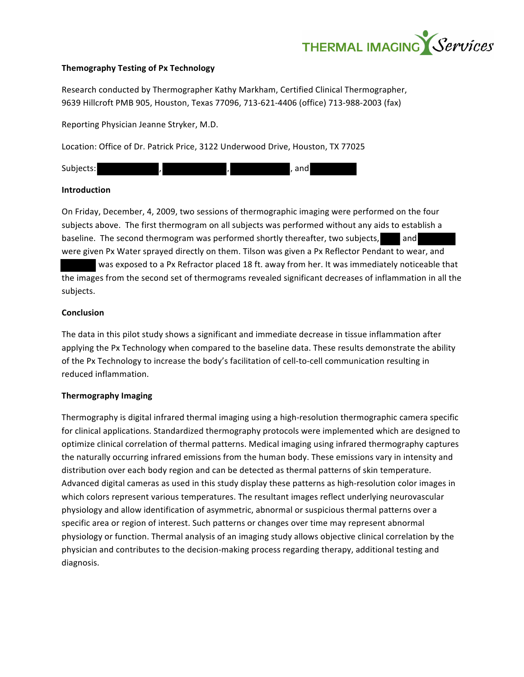

# **Themography Testing of Px Technology**

Research conducted by Thermographer Kathy Markham, Certified Clinical Thermographer, 9639 Hillcroft PMB 905, Houston, Texas 77096, 713-621-4406 (office) 713-988-2003 (fax)

Reporting Physician Jeanne Stryker, M.D.

Location: Office of Dr. Patrick Price, 3122 Underwood Drive, Houston, TX 77025



## **Introduction**

On Friday, December, 4, 2009, two sessions of thermographic imaging were performed on the four subjects above. The first thermogram on all subjects was performed without any aids to establish a baseline. The second thermogram was performed shortly thereafter, two subjects, and were given Px Water sprayed directly on them. Tilson was given a Px Reflector Pendant to wear, and was exposed to a Px Refractor placed 18 ft. away from her. It was immediately noticeable that the images from the second set of thermograms revealed significant decreases of inflammation in all the

subjects. 

## **Conclusion**

The data in this pilot study shows a significant and immediate decrease in tissue inflammation after applying the Px Technology when compared to the baseline data. These results demonstrate the ability of the Px Technology to increase the body's facilitation of cell-to-cell communication resulting in reduced inflammation.

# **Thermography Imaging**

Thermography is digital infrared thermal imaging using a high-resolution thermographic camera specific for clinical applications. Standardized thermography protocols were implemented which are designed to optimize clinical correlation of thermal patterns. Medical imaging using infrared thermography captures the naturally occurring infrared emissions from the human body. These emissions vary in intensity and distribution over each body region and can be detected as thermal patterns of skin temperature. Advanced digital cameras as used in this study display these patterns as high-resolution color images in which colors represent various temperatures. The resultant images reflect underlying neurovascular physiology and allow identification of asymmetric, abnormal or suspicious thermal patterns over a specific area or region of interest. Such patterns or changes over time may represent abnormal physiology or function. Thermal analysis of an imaging study allows objective clinical correlation by the physician and contributes to the decision-making process regarding therapy, additional testing and diagnosis.